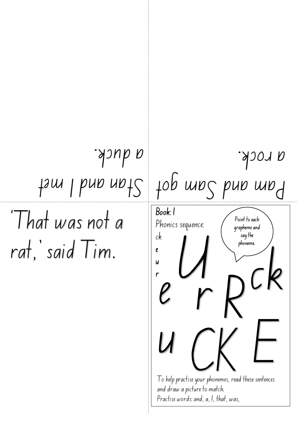'That was not a rat,' said Tim. Stan and I met a duck. am got Pam and S a rock. Book: 1 Phonics sequence: ck e u r To help practise your phonemes, read these sentences and draw a picture to match. Practise words: and, a, I, that, was, <sup>U</sup> <sup>R</sup> <sup>e</sup> CK r E ck u Point to each grapheme and say the phoneme.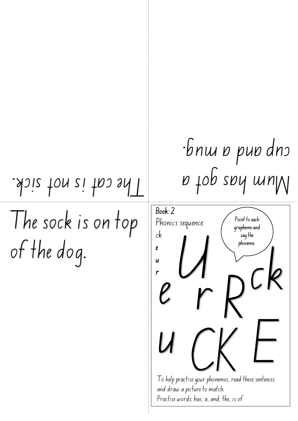The sock is on top of the dog.

## $T$ ·bnw o puo dno

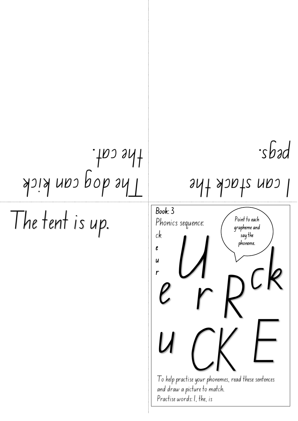## The dog can kick the cat.

The tent is up.

pegs.

## I can stack the